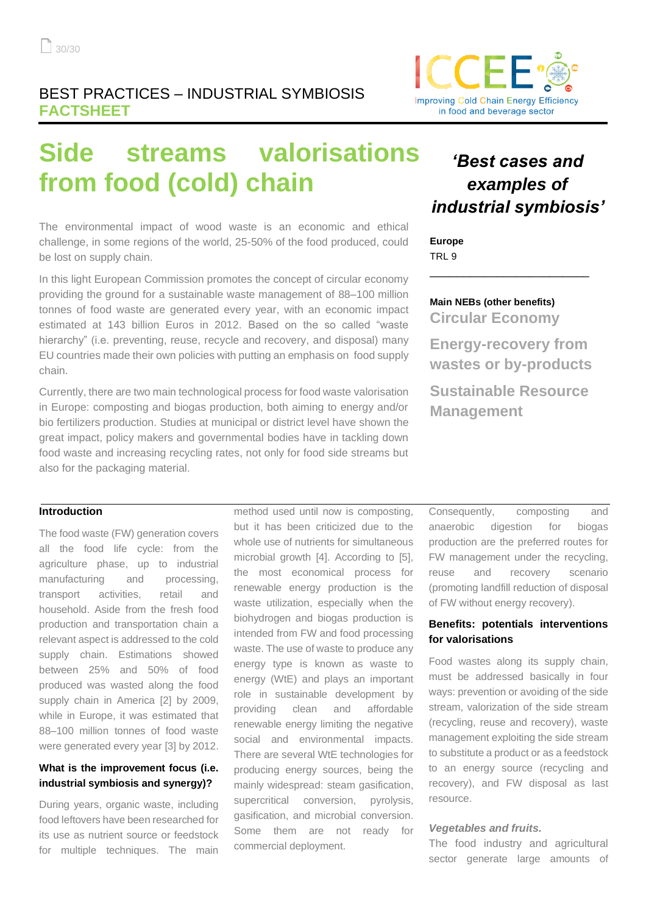

# **Side streams valorisations from food (cold) chain**

The environmental impact of wood waste is an economic and ethical challenge, in some regions of the world, 25-50% of the food produced, could be lost on supply chain.

In this light European Commission promotes the concept of circular economy providing the ground for a sustainable waste management of 88–100 million tonnes of food waste are generated every year, with an economic impact estimated at 143 billion Euros in 2012. Based on the so called "waste hierarchy" (i.e. preventing, reuse, recycle and recovery, and disposal) many EU countries made their own policies with putting an emphasis on food supply chain.

Currently, there are two main technological process for food waste valorisation in Europe: composting and biogas production, both aiming to energy and/or bio fertilizers production. Studies at municipal or district level have shown the great impact, policy makers and governmental bodies have in tackling down food waste and increasing recycling rates, not only for food side streams but also for the packaging material.

# *'Best cases and examples of industrial symbiosis'*

**Europe** TRL 9

**Main NEBs (other benefits) Circular Economy**

**Energy-recovery from wastes or by-products**

\_\_\_\_\_\_\_\_\_\_\_\_\_\_\_\_\_\_\_\_\_\_\_\_

**Sustainable Resource Management** 

### **Introduction**

The food waste (FW) generation covers all the food life cycle: from the agriculture phase, up to industrial manufacturing and processing, transport activities, retail and household. Aside from the fresh food production and transportation chain a relevant aspect is addressed to the cold supply chain. Estimations showed between 25% and 50% of food produced was wasted along the food supply chain in America [2] by 2009. while in Europe, it was estimated that 88–100 million tonnes of food waste were generated every year [3] by 2012.

## **What is the improvement focus (i.e. industrial symbiosis and synergy)?**

During years, organic waste, including food leftovers have been researched for its use as nutrient source or feedstock for multiple techniques. The main

method used until now is composting, but it has been criticized due to the whole use of nutrients for simultaneous microbial growth [4]. According to [5], the most economical process for renewable energy production is the waste utilization, especially when the biohydrogen and biogas production is intended from FW and food processing waste. The use of waste to produce any energy type is known as waste to energy (WtE) and plays an important role in sustainable development by providing clean and affordable renewable energy limiting the negative social and environmental impacts. There are several WtE technologies for producing energy sources, being the mainly widespread: steam gasification, supercritical conversion, pyrolysis, gasification, and microbial conversion. Some them are not ready for commercial deployment.

Consequently, composting and anaerobic digestion for biogas production are the preferred routes for FW management under the recycling, reuse and recovery scenario (promoting landfill reduction of disposal of FW without energy recovery).

## **Benefits: potentials interventions for valorisations**

Food wastes along its supply chain, must be addressed basically in four ways: prevention or avoiding of the side stream, valorization of the side stream (recycling, reuse and recovery), waste management exploiting the side stream to substitute a product or as a feedstock to an energy source (recycling and recovery), and FW disposal as last resource.

#### *Vegetables and fruits.*

The food industry and agricultural sector generate large amounts of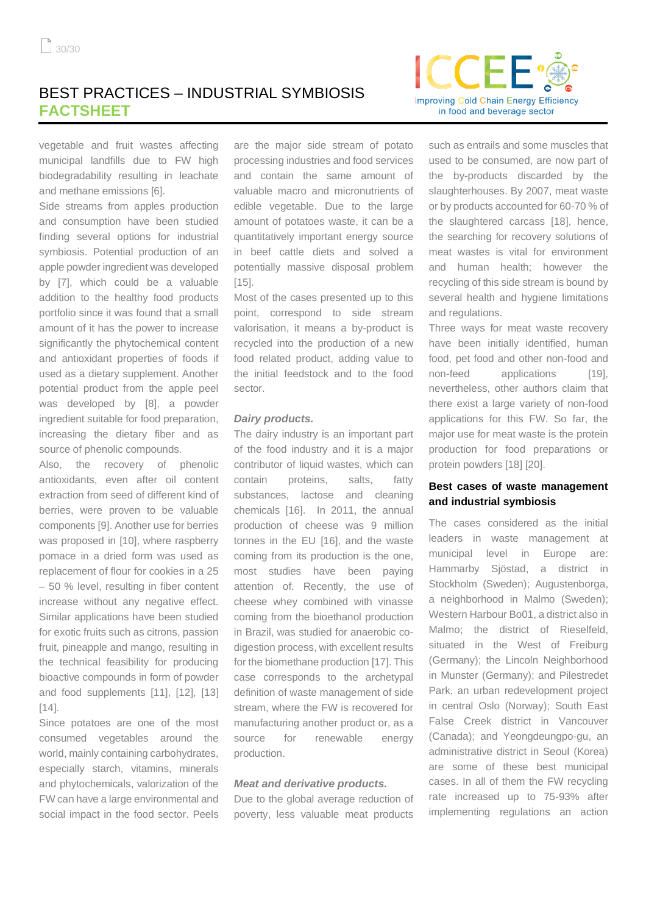

vegetable and fruit wastes affecting municipal landfills due to FW high biodegradability resulting in leachate and methane emissions [6].

Side streams from apples production and consumption have been studied finding several options for industrial symbiosis. Potential production of an apple powder ingredient was developed by [7], which could be a valuable addition to the healthy food products portfolio since it was found that a small amount of it has the power to increase significantly the phytochemical content and antioxidant properties of foods if used as a dietary supplement. Another potential product from the apple peel was developed by [8], a powder ingredient suitable for food preparation, increasing the dietary fiber and as source of phenolic compounds.

Also, the recovery of phenolic antioxidants, even after oil content extraction from seed of different kind of berries, were proven to be valuable components [9]. Another use for berries was proposed in [10], where raspberry pomace in a dried form was used as replacement of flour for cookies in a 25 – 50 % level, resulting in fiber content increase without any negative effect. Similar applications have been studied for exotic fruits such as citrons, passion fruit, pineapple and mango, resulting in the technical feasibility for producing bioactive compounds in form of powder and food supplements [11], [12], [13]  $[14]$ .

Since potatoes are one of the most consumed vegetables around the world, mainly containing carbohydrates, especially starch, vitamins, minerals and phytochemicals, valorization of the FW can have a large environmental and social impact in the food sector. Peels

are the major side stream of potato processing industries and food services and contain the same amount of valuable macro and micronutrients of edible vegetable. Due to the large amount of potatoes waste, it can be a quantitatively important energy source in beef cattle diets and solved a potentially massive disposal problem [15].

Most of the cases presented up to this point, correspond to side stream valorisation, it means a by-product is recycled into the production of a new food related product, adding value to the initial feedstock and to the food sector.

#### *Dairy products.*

The dairy industry is an important part of the food industry and it is a major contributor of liquid wastes, which can contain proteins, salts, fatty substances, lactose and cleaning chemicals [16]. In 2011, the annual production of cheese was 9 million tonnes in the EU [16], and the waste coming from its production is the one, most studies have been paying attention of. Recently, the use of cheese whey combined with vinasse coming from the bioethanol production in Brazil, was studied for anaerobic codigestion process, with excellent results for the biomethane production [17]. This case corresponds to the archetypal definition of waste management of side stream, where the FW is recovered for manufacturing another product or, as a source for renewable energy production.

#### *Meat and derivative products.*

Due to the global average reduction of poverty, less valuable meat products

such as entrails and some muscles that used to be consumed, are now part of the by-products discarded by the slaughterhouses. By 2007, meat waste or by products accounted for 60-70 % of the slaughtered carcass [18], hence, the searching for recovery solutions of meat wastes is vital for environment and human health; however the recycling of this side stream is bound by several health and hygiene limitations and regulations.

Three ways for meat waste recovery have been initially identified, human food, pet food and other non-food and non-feed applications [19]. nevertheless, other authors claim that there exist a large variety of non-food applications for this FW. So far, the major use for meat waste is the protein production for food preparations or protein powders [18] [20].

## **Best cases of waste management and industrial symbiosis**

The cases considered as the initial leaders in waste management at municipal level in Europe are: Hammarby Sjöstad, a district in Stockholm (Sweden); Augustenborga, a neighborhood in Malmo (Sweden); Western Harbour Bo01, a district also in Malmo; the district of Rieselfeld, situated in the West of Freiburg (Germany); the Lincoln Neighborhood in Munster (Germany); and Pilestredet Park, an urban redevelopment project in central Oslo (Norway); South East False Creek district in Vancouver (Canada); and Yeongdeungpo-gu, an administrative district in Seoul (Korea) are some of these best municipal cases. In all of them the FW recycling rate increased up to 75-93% after implementing regulations an action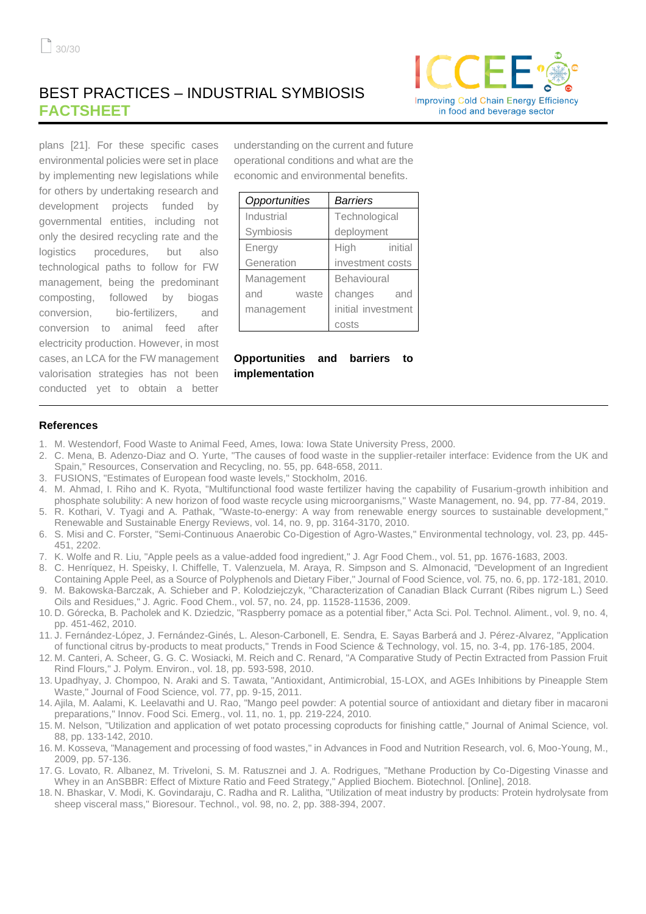

plans [21]. For these specific cases environmental policies were set in place by implementing new legislations while for others by undertaking research and development projects funded by governmental entities, including not only the desired recycling rate and the logistics procedures, but also technological paths to follow for FW management, being the predominant composting, followed by biogas conversion, bio-fertilizers, and conversion to animal feed after electricity production. However, in most cases, an LCA for the FW management valorisation strategies has not been conducted yet to obtain a better

understanding on the current and future operational conditions and what are the economic and environmental benefits.

| Opportunities | Barriers           |
|---------------|--------------------|
| Industrial    | Technological      |
| Symbiosis     | deployment         |
| Energy        | High<br>initial    |
| Generation    | investment costs   |
| Management    | Behavioural        |
| and<br>waste  | changes<br>and     |
| management    | initial investment |
|               | costs              |

**Opportunities and barriers to implementation**

#### **References**

- 1. M. Westendorf, Food Waste to Animal Feed, Ames, Iowa: Iowa State University Press, 2000.
- 2. C. Mena, B. Adenzo-Diaz and O. Yurte, "The causes of food waste in the supplier-retailer interface: Evidence from the UK and Spain," Resources, Conservation and Recycling, no. 55, pp. 648-658, 2011.
- 3. FUSIONS, "Estimates of European food waste levels," Stockholm, 2016.
- 4. M. Ahmad, I. Riho and K. Ryota, "Multifunctional food waste fertilizer having the capability of Fusarium-growth inhibition and phosphate solubility: A new horizon of food waste recycle using microorganisms," Waste Management, no. 94, pp. 77-84, 2019.
- 5. R. Kothari, V. Tyagi and A. Pathak, "Waste-to-energy: A way from renewable energy sources to sustainable development," Renewable and Sustainable Energy Reviews, vol. 14, no. 9, pp. 3164-3170, 2010.
- 6. S. Misi and C. Forster, "Semi-Continuous Anaerobic Co-Digestion of Agro-Wastes," Environmental technology, vol. 23, pp. 445- 451, 2202.
- 7. K. Wolfe and R. Liu, "Apple peels as a value-added food ingredient," J. Agr Food Chem., vol. 51, pp. 1676-1683, 2003.
- 8. C. Henríquez, H. Speisky, I. Chiffelle, T. Valenzuela, M. Araya, R. Simpson and S. Almonacid, "Development of an Ingredient Containing Apple Peel, as a Source of Polyphenols and Dietary Fiber," Journal of Food Science, vol. 75, no. 6, pp. 172-181, 2010.
- 9. M. Bakowska-Barczak, A. Schieber and P. Kolodziejczyk, "Characterization of Canadian Black Currant (Ribes nigrum L.) Seed Oils and Residues," J. Agric. Food Chem., vol. 57, no. 24, pp. 11528-11536, 2009.
- 10. D. Górecka, B. Pacholek and K. Dziedzic, "Raspberry pomace as a potential fiber," Acta Sci. Pol. Technol. Aliment., vol. 9, no. 4, pp. 451-462, 2010.
- 11. J. Fernández-López, J. Fernández-Ginés, L. Aleson-Carbonell, E. Sendra, E. Sayas Barberá and J. Pérez-Alvarez, "Application of functional citrus by-products to meat products," Trends in Food Science & Technology, vol. 15, no. 3-4, pp. 176-185, 2004.
- 12. M. Canteri, A. Scheer, G. G. C. Wosiacki, M. Reich and C. Renard, "A Comparative Study of Pectin Extracted from Passion Fruit Rind Flours," J. Polym. Environ., vol. 18, pp. 593-598, 2010.
- 13. Upadhyay, J. Chompoo, N. Araki and S. Tawata, "Antioxidant, Antimicrobial, 15‐LOX, and AGEs Inhibitions by Pineapple Stem Waste," Journal of Food Science, vol. 77, pp. 9-15, 2011.
- 14. Ajila, M. Aalami, K. Leelavathi and U. Rao, "Mango peel powder: A potential source of antioxidant and dietary fiber in macaroni preparations," Innov. Food Sci. Emerg., vol. 11, no. 1, pp. 219-224, 2010.
- 15. M. Nelson, "Utilization and application of wet potato processing coproducts for finishing cattle," Journal of Animal Science, vol. 88, pp. 133-142, 2010.
- 16. M. Kosseva, "Management and processing of food wastes," in Advances in Food and Nutrition Research, vol. 6, Moo-Young, M., 2009, pp. 57-136.
- 17. G. Lovato, R. Albanez, M. Triveloni, S. M. Ratusznei and J. A. Rodrigues, "Methane Production by Co-Digesting Vinasse and Whey in an AnSBBR: Effect of Mixture Ratio and Feed Strategy," Applied Biochem. Biotechnol. [Online], 2018.
- 18. N. Bhaskar, V. Modi, K. Govindaraju, C. Radha and R. Lalitha, "Utilization of meat industry by products: Protein hydrolysate from sheep visceral mass," Bioresour. Technol., vol. 98, no. 2, pp. 388-394, 2007.